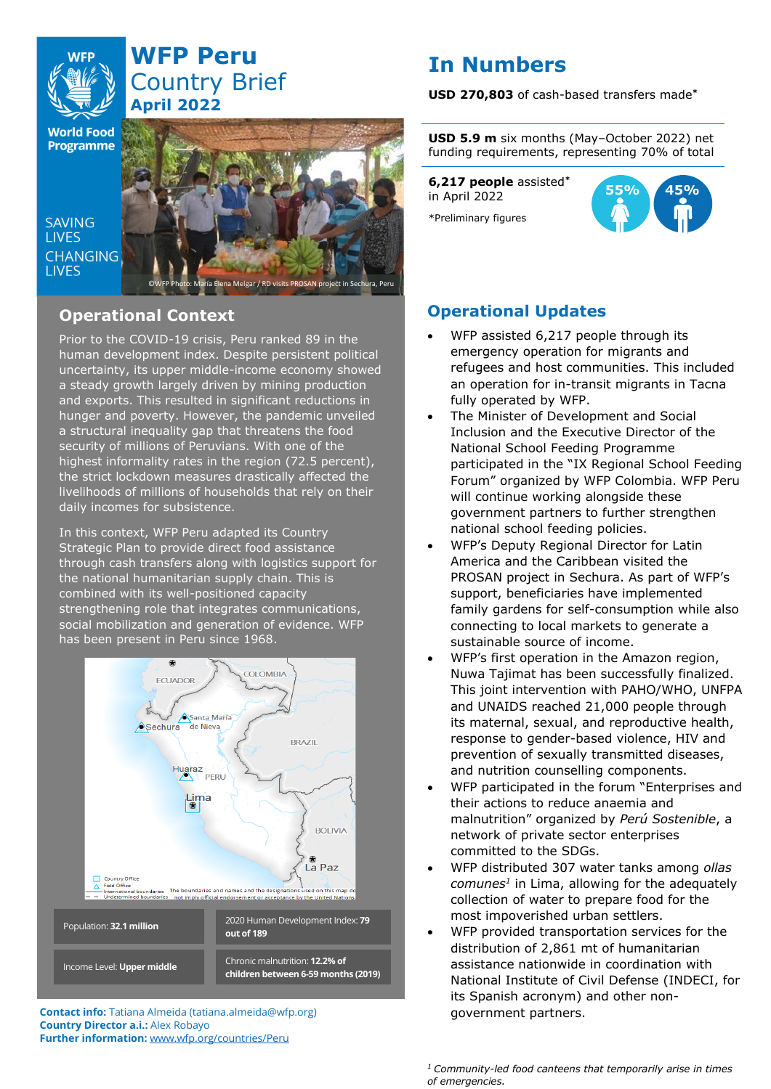

# **WFP Peru** Country Brief **April 2022**

**World Food Programme** 

SAVING **TIVES CHANGING I IVES** 



## **Operational Context**

Prior to the COVID-19 crisis, Peru ranked 89 in the human development index. Despite persistent political uncertainty, its upper middle-income economy showed a steady growth largely driven by mining production and exports. This resulted in significant reductions in hunger and poverty. However, the pandemic unveiled a structural inequality gap that threatens the food security of millions of Peruvians. With one of the highest informality rates in the region (72.5 percent), the strict lockdown measures drastically affected the livelihoods of millions of households that rely on their daily incomes for subsistence.

In this context, WFP Peru adapted its Country Strategic Plan to provide direct food assistance through cash transfers along with logistics support for the national humanitarian supply chain. This is combined with its well-positioned capacity strengthening role that integrates communications, social mobilization and generation of evidence. WFP has been present in Peru since 1968.



**Contact info:** Tatiana Almeida (tatiana.almeida@wfp.org) **Country Director a.i.:** Alex Robayo **Further information:** [www.wfp.org/countries/Peru](http://www.wfp.org/countries/Peru)

# **In Numbers**

**USD 270,803** of cash-based transfers made**\***

**USD 5.9 m** six months (May–October 2022) net funding requirements, representing 70% of total

**6,217 people** assisted**\*** in April 2022 \*Preliminary figures



## **Operational Updates**

- WFP assisted 6,217 people through its emergency operation for migrants and refugees and host communities. This included an operation for in-transit migrants in Tacna fully operated by WFP.
- The Minister of Development and Social Inclusion and the Executive Director of the National School Feeding Programme participated in the "IX Regional School Feeding Forum" organized by WFP Colombia. WFP Peru will continue working alongside these government partners to further strengthen national school feeding policies.
- WFP's Deputy Regional Director for Latin America and the Caribbean visited the PROSAN project in Sechura. As part of WFP's support, beneficiaries have implemented family gardens for self-consumption while also connecting to local markets to generate a sustainable source of income.
- WFP's first operation in the Amazon region, Nuwa Tajimat has been successfully finalized. This joint intervention with PAHO/WHO, UNFPA and UNAIDS reached 21,000 people through its maternal, sexual, and reproductive health, response to gender-based violence, HIV and prevention of sexually transmitted diseases, and nutrition counselling components.
- WFP participated in the forum "Enterprises and their actions to reduce anaemia and malnutrition" organized by *Perú Sostenible*, a network of private sector enterprises committed to the SDGs.
- WFP distributed 307 water tanks among *ollas comunes<sup>1</sup>* in Lima, allowing for the adequately collection of water to prepare food for the most impoverished urban settlers.
- WFP provided transportation services for the distribution of 2,861 mt of humanitarian assistance nationwide in coordination with National Institute of Civil Defense (INDECI, for its Spanish acronym) and other nongovernment partners.

*<sup>1</sup> Community-led food canteens that temporarily arise in times of emergencies.*